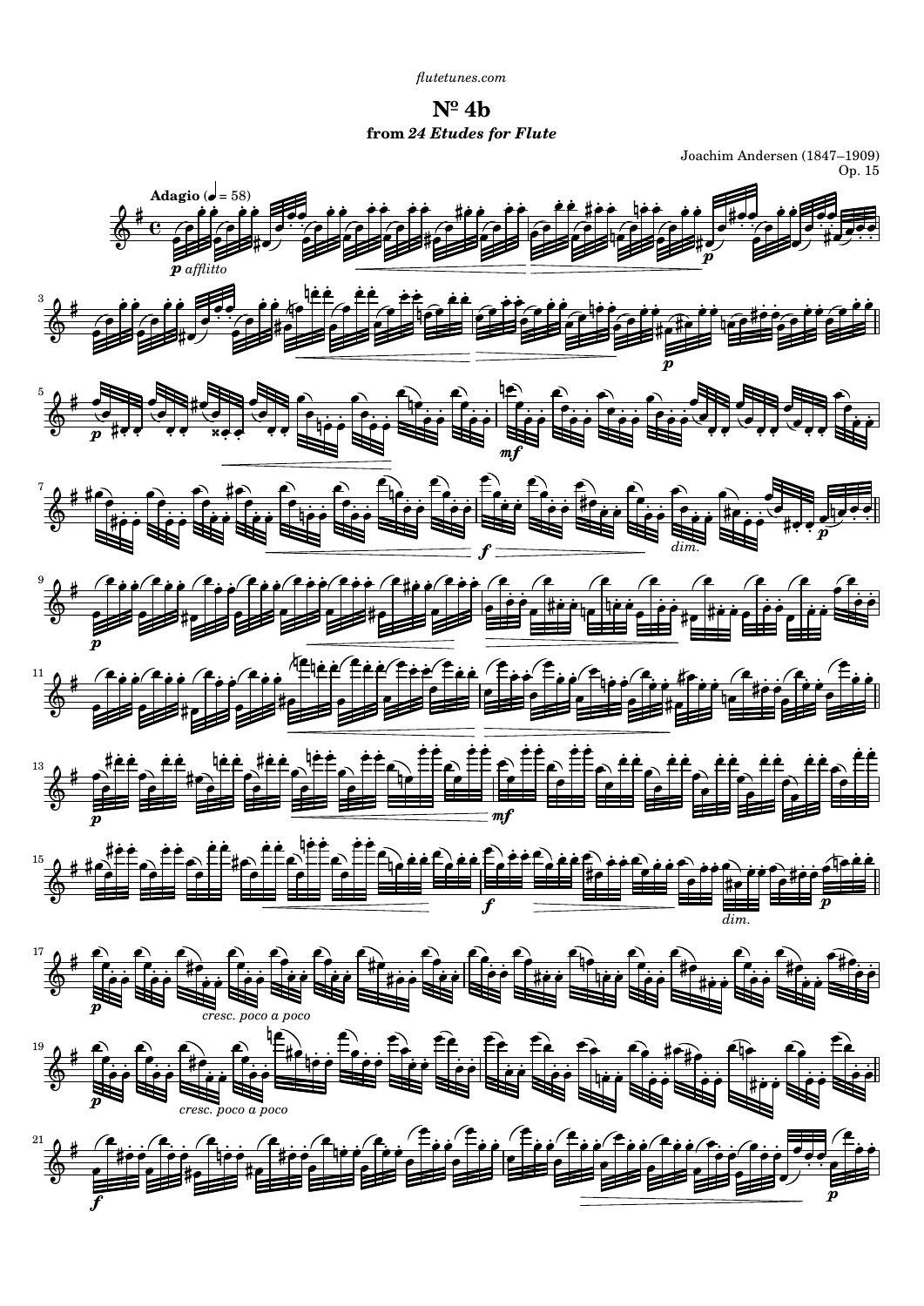*[flutetunes.com](http://www.flutetunes.com)*

**Nº 4b from** *24 Etudes for Flute*